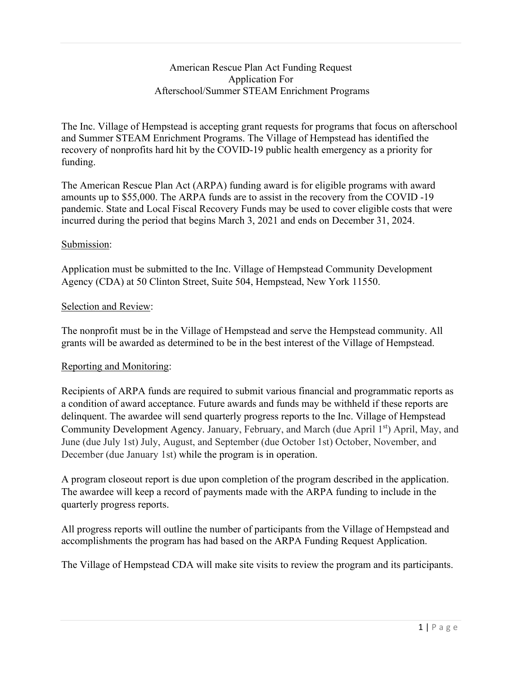## American Rescue Plan Act Funding Request Application For Afterschool/Summer STEAM Enrichment Programs

The Inc. Village of Hempstead is accepting grant requests for programs that focus on afterschool and Summer STEAM Enrichment Programs. The Village of Hempstead has identified the recovery of nonprofits hard hit by the COVID-19 public health emergency as a priority for funding.

The American Rescue Plan Act (ARPA) funding award is for eligible programs with award amounts up to \$55,000. The ARPA funds are to assist in the recovery from the COVID -19 pandemic. State and Local Fiscal Recovery Funds may be used to cover eligible costs that were incurred during the period that begins March 3, 2021 and ends on December 31, 2024.

## Submission:

Application must be submitted to the Inc. Village of Hempstead Community Development Agency (CDA) at 50 Clinton Street, Suite 504, Hempstead, New York 11550.

## Selection and Review:

The nonprofit must be in the Village of Hempstead and serve the Hempstead community. All grants will be awarded as determined to be in the best interest of the Village of Hempstead.

## Reporting and Monitoring:

Recipients of ARPA funds are required to submit various financial and programmatic reports as a condition of award acceptance. Future awards and funds may be withheld if these reports are delinquent. The awardee will send quarterly progress reports to the Inc. Village of Hempstead Community Development Agency. January, February, and March (due April 1st) April, May, and June (due July 1st) July, August, and September (due October 1st) October, November, and December (due January 1st) while the program is in operation.

A program closeout report is due upon completion of the program described in the application. The awardee will keep a record of payments made with the ARPA funding to include in the quarterly progress reports.

All progress reports will outline the number of participants from the Village of Hempstead and accomplishments the program has had based on the ARPA Funding Request Application.

The Village of Hempstead CDA will make site visits to review the program and its participants.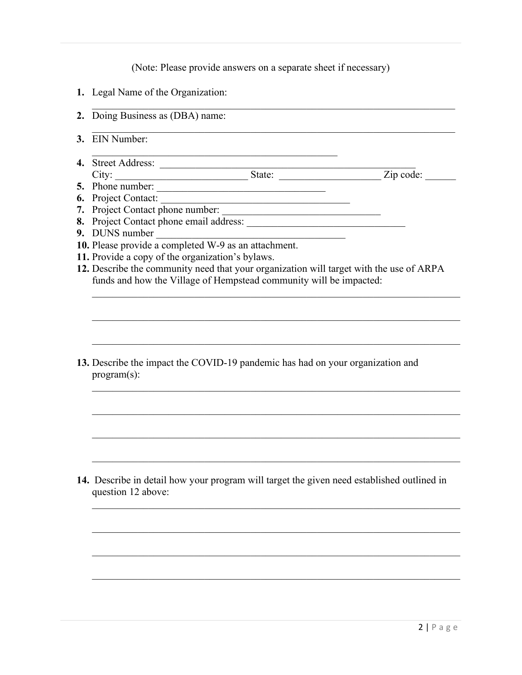(Note: Please provide answers on a separate sheet if necessary)

- **1.** Legal Name of the Organization:
- **2.** Doing Business as (DBA) name:
- **3.** EIN Number:
- **4.** Street Address: \_\_\_\_\_\_\_\_\_\_\_\_\_\_\_\_\_\_\_\_\_\_\_\_\_\_\_\_\_\_\_\_\_\_\_\_\_\_\_\_\_\_\_\_\_\_\_\_\_\_ City: State: State: Zip code:
- **5.** Phone number: \_\_\_\_\_\_\_\_\_\_\_\_\_\_\_\_\_\_\_\_\_\_\_\_\_\_\_\_\_\_\_\_\_
- **6.** Project Contact: \_\_\_\_\_\_\_\_\_\_\_\_\_\_\_\_\_\_\_\_\_\_\_\_\_\_\_\_\_\_\_\_\_\_\_\_\_
- 7. Project Contact phone number:
- 8. Project Contact phone email address:

 $\mathcal{L}_\mathcal{L}$  , which is a set of the set of the set of the set of the set of the set of the set of the set of the set of the set of the set of the set of the set of the set of the set of the set of the set of the set of

- **9.** DUNS number \_\_\_\_\_\_\_\_\_\_\_\_\_\_\_\_\_\_\_\_\_\_\_\_\_\_\_\_\_\_\_\_\_\_\_\_\_
- **10.** Please provide a completed W-9 as an attachment.
- **11.** Provide a copy of the organization's bylaws.
- **12.** Describe the community need that your organization will target with the use of ARPA funds and how the Village of Hempstead community will be impacted:

 $\mathcal{L}_\text{G}$  , and the contribution of the contribution of the contribution of the contribution of the contribution of the contribution of the contribution of the contribution of the contribution of the contribution of t

 $\mathcal{L}_\text{G}$  , and the contribution of the contribution of the contribution of the contribution of the contribution of the contribution of the contribution of the contribution of the contribution of the contribution of t

 $\mathcal{L}_\text{G}$  , and the contribution of the contribution of the contribution of the contribution of the contribution of the contribution of the contribution of the contribution of the contribution of the contribution of t

 $\mathcal{L}_\text{G}$  , and the contribution of the contribution of the contribution of the contribution of the contribution of the contribution of the contribution of the contribution of the contribution of the contribution of t

 $\mathcal{L}_\text{G}$  , and the contribution of the contribution of the contribution of the contribution of the contribution of the contribution of the contribution of the contribution of the contribution of the contribution of t

 $\mathcal{L}_\text{max} = \mathcal{L}_\text{max} = \mathcal{L}_\text{max} = \mathcal{L}_\text{max} = \mathcal{L}_\text{max} = \mathcal{L}_\text{max} = \mathcal{L}_\text{max} = \mathcal{L}_\text{max} = \mathcal{L}_\text{max} = \mathcal{L}_\text{max} = \mathcal{L}_\text{max} = \mathcal{L}_\text{max} = \mathcal{L}_\text{max} = \mathcal{L}_\text{max} = \mathcal{L}_\text{max} = \mathcal{L}_\text{max} = \mathcal{L}_\text{max} = \mathcal{L}_\text{max} = \mathcal{$ 

 $\mathcal{L}_\text{G}$  , and the contribution of the contribution of the contribution of the contribution of the contribution of the contribution of the contribution of the contribution of the contribution of the contribution of t

 $\mathcal{L}_\text{G}$  , and the contribution of the contribution of the contribution of the contribution of the contribution of the contribution of the contribution of the contribution of the contribution of the contribution of t

**13.** Describe the impact the COVID-19 pandemic has had on your organization and program(s):

**14.** Describe in detail how your program will target the given need established outlined in question 12 above: